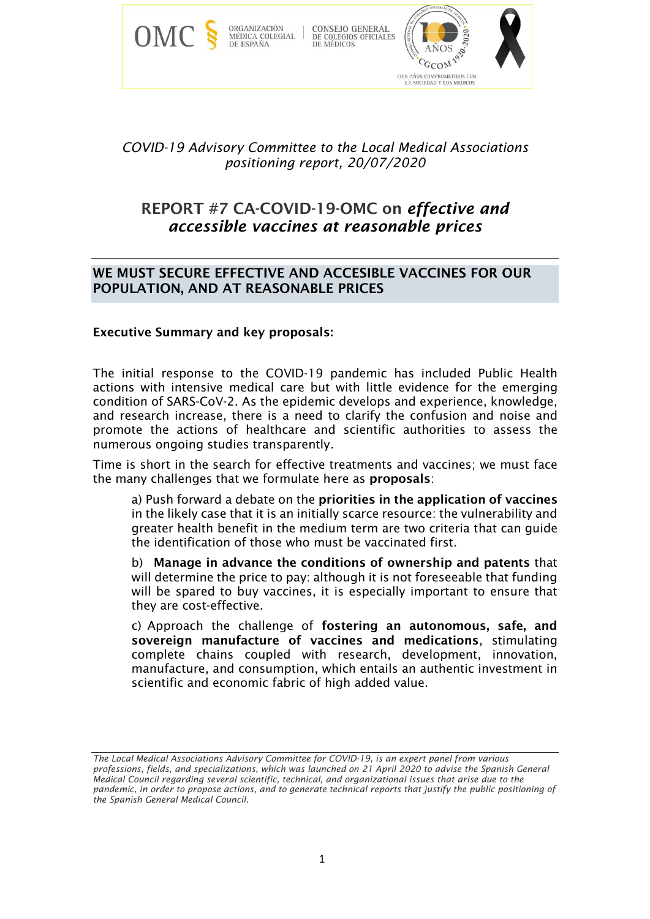

# *COVID-19 Advisory Committee to the Local Medical Associations positioning report, 20/07/2020*

# REPORT #7 CA-COVID-19-OMC on *effective and accessible vaccines at reasonable prices*

## WE MUST SECURE EFFECTIVE AND ACCESIBLE VACCINES FOR OUR POPULATION, AND AT REASONABLE PRICES

## Executive Summary and key proposals:

The initial response to the COVID-19 pandemic has included Public Health actions with intensive medical care but with little evidence for the emerging condition of SARS-CoV-2. As the epidemic develops and experience, knowledge, and research increase, there is a need to clarify the confusion and noise and promote the actions of healthcare and scientific authorities to assess the numerous ongoing studies transparently.

Time is short in the search for effective treatments and vaccines; we must face the many challenges that we formulate here as proposals:

a) Push forward a debate on the priorities in the application of vaccines in the likely case that it is an initially scarce resource: the vulnerability and greater health benefit in the medium term are two criteria that can guide the identification of those who must be vaccinated first.

b) Manage in advance the conditions of ownership and patents that will determine the price to pay: although it is not foreseeable that funding will be spared to buy vaccines, it is especially important to ensure that they are cost-effective.

c) Approach the challenge of fostering an autonomous, safe, and sovereign manufacture of vaccines and medications, stimulating complete chains coupled with research, development, innovation, manufacture, and consumption, which entails an authentic investment in scientific and economic fabric of high added value.

*The Local Medical Associations Advisory Committee for COVID-19, is an expert panel from various professions, fields, and specializations, which was launched on 21 April 2020 to advise the Spanish General Medical Council regarding several scientific, technical, and organizational issues that arise due to the pandemic, in order to propose actions, and to generate technical reports that justify the public positioning of the Spanish General Medical Council.*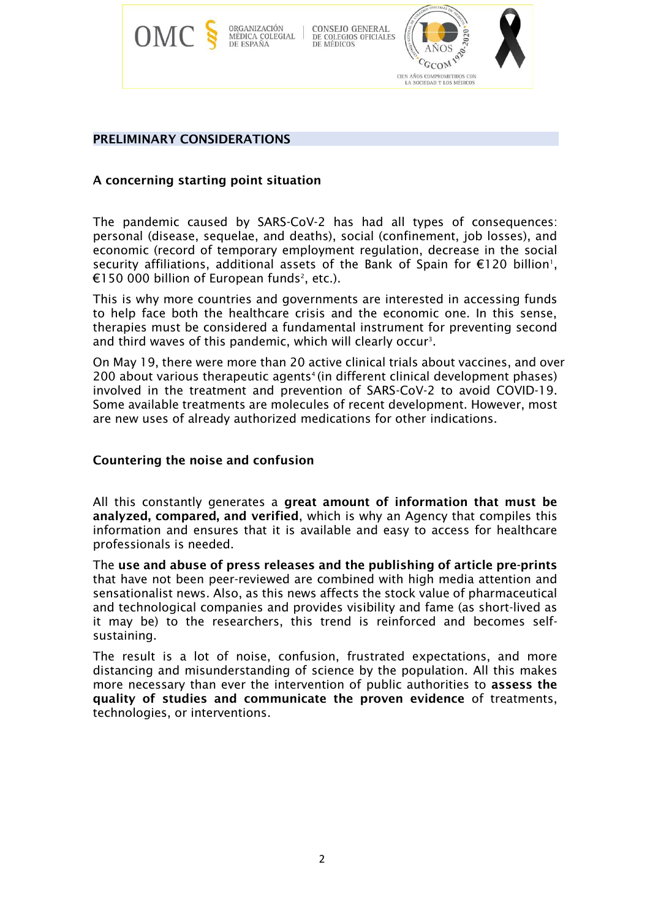

## PRELIMINARY CONSIDERATIONS

## A concerning starting point situation

The pandemic caused by SARS-CoV-2 has had all types of consequences: personal (disease, sequelae, and deaths), social (confinement, job losses), and economic (record of temporary employment regulation, decrease in the social security affiliations, additional assets of the Bank of Spain for  $E120$  billion<sup>1</sup>,  $\mathsf{\mathfrak{C}}$ 150 000 billion of European funds $^{\scriptscriptstyle 2}$ , etc.).

This is why more countries and governments are interested in accessing funds to help face both the healthcare crisis and the economic one. In this sense, therapies must be considered a fundamental instrument for preventing second and third waves of this pandemic, which will clearly occur<sup>3</sup>.

On May 19, there were more than 20 active clinical trials about vaccines, and over 200 about various therapeutic agents<sup>4</sup> (in different clinical development phases) involved in the treatment and prevention of SARS-CoV-2 to avoid COVID-19. Some available treatments are molecules of recent development. However, most are new uses of already authorized medications for other indications.

#### Countering the noise and confusion

All this constantly generates a great amount of information that must be analyzed, compared, and verified, which is why an Agency that compiles this information and ensures that it is available and easy to access for healthcare professionals is needed.

The use and abuse of press releases and the publishing of article pre-prints that have not been peer-reviewed are combined with high media attention and sensationalist news. Also, as this news affects the stock value of pharmaceutical and technological companies and provides visibility and fame (as short-lived as it may be) to the researchers, this trend is reinforced and becomes selfsustaining.

The result is a lot of noise, confusion, frustrated expectations, and more distancing and misunderstanding of science by the population. All this makes more necessary than ever the intervention of public authorities to assess the quality of studies and communicate the proven evidence of treatments, technologies, or interventions.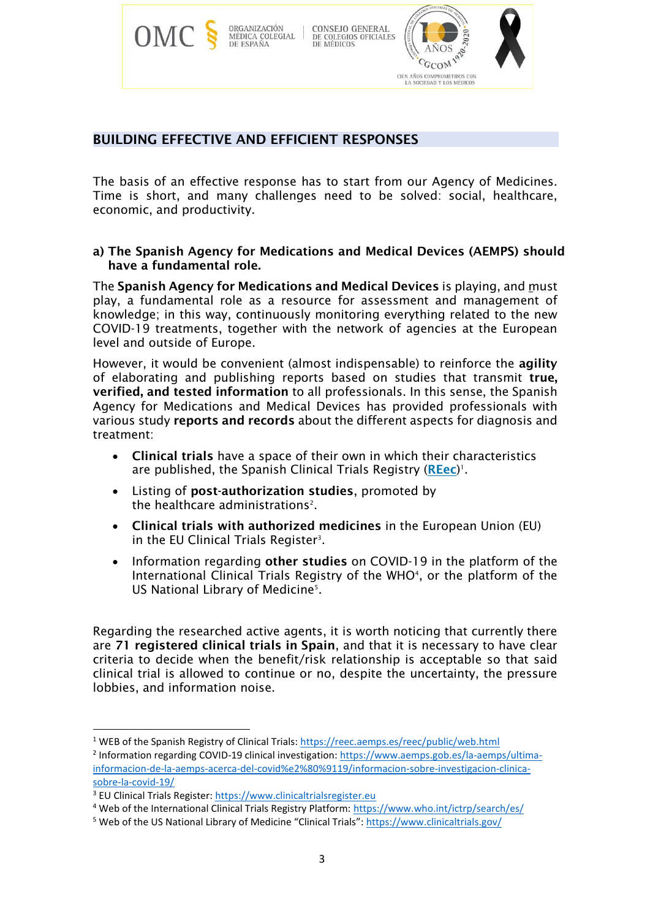

## BUILDING EFFECTIVE AND EFFICIENT RESPONSES

The basis of an effective response has to start from our Agency of Medicines. Time is short, and many challenges need to be solved: social, healthcare, economic, and productivity.

## a) The Spanish Agency for Medications and Medical Devices (AEMPS) should have a fundamental role.

The Spanish Agency for Medications and Medical Devices is playing, and must play, a fundamental role as a resource for assessment and management of knowledge; in this way, continuously monitoring everything related to the new COVID-19 treatments, together with the network of agencies at the European level and outside of Europe.

However, it would be convenient (almost indispensable) to reinforce the agility of elaborating and publishing reports based on studies that transmit true, verified, and tested information to all professionals. In this sense, the Spanish Agency for Medications and Medical Devices has provided professionals with various study reports and records about the different aspects for diagnosis and treatment:

- Clinical trials have a space of their own in which their characteristics are published, the Spanish Clinical Trials Registry ([REec](https://reec.aemps.es/))<sup>1</sup>.
- Listing of post-authorization studies, promoted by the healthcare administrations<sup>2</sup>.
- Clinical trials with authorized medicines in the European Union (EU) in the EU Clinical Trials Register<sup>3</sup>.
- Information regarding other studies on COVID-19 in the platform of the International Clinical Trials Registry of the WHO<sup>4</sup>, or the platform of the US National Library of Medicine<sup>5</sup>.

Regarding the researched active agents, it is worth noticing that currently there are 71 registered clinical trials in Spain, and that it is necessary to have clear criteria to decide when the benefit/risk relationship is acceptable so that said clinical trial is allowed to continue or no, despite the uncertainty, the pressure lobbies, and information noise.

<sup>&</sup>lt;sup>1</sup> WEB of the Spanish Registry of Clinical Trials:<https://reec.aemps.es/reec/public/web.html>

<sup>&</sup>lt;sup>2</sup> Information regarding COVID-19 clinical investigation[: https://www.aemps.gob.es/la-aemps/ultima](https://www.aemps.gob.es/la-aemps/ultima-informacion-de-la-aemps-acerca-del-covid%e2%80%9119/informacion-sobre-investigacion-clinica-sobre-la-covid-19/)[informacion-de-la-aemps-acerca-del-covid%e2%80%9119/informacion-sobre-investigacion-clinica](https://www.aemps.gob.es/la-aemps/ultima-informacion-de-la-aemps-acerca-del-covid%e2%80%9119/informacion-sobre-investigacion-clinica-sobre-la-covid-19/)[sobre-la-covid-19/](https://www.aemps.gob.es/la-aemps/ultima-informacion-de-la-aemps-acerca-del-covid%e2%80%9119/informacion-sobre-investigacion-clinica-sobre-la-covid-19/)

<sup>3</sup> EU Clinical Trials Register: [https://www.clinicaltrialsregister.eu](https://www.clinicaltrialsregister.eu/)

<sup>4</sup> Web of the International Clinical Trials Registry Platform:<https://www.who.int/ictrp/search/es/>

<sup>5</sup> Web of the US National Library of Medicine "Clinical Trials": <https://www.clinicaltrials.gov/>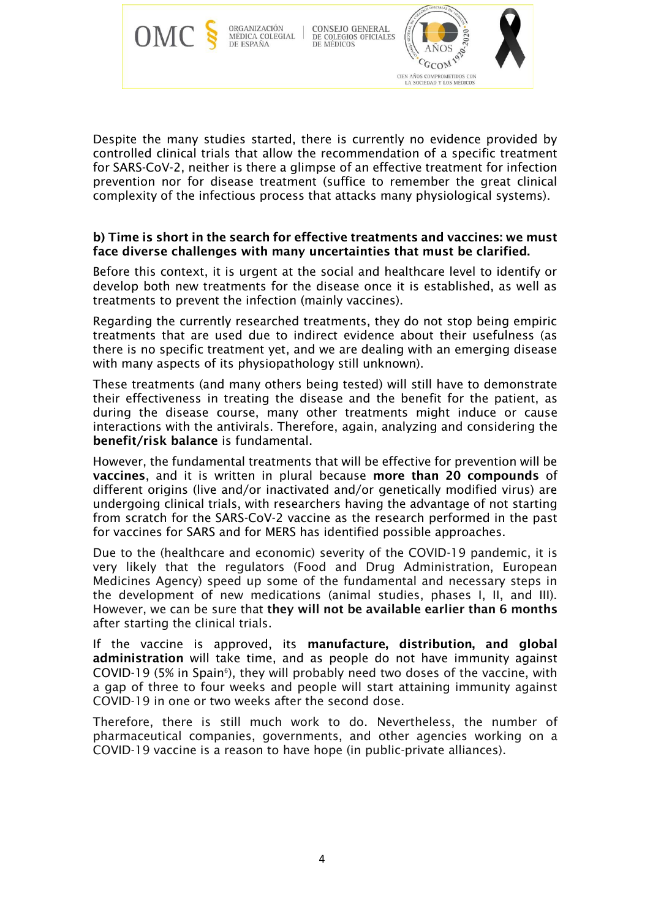

Despite the many studies started, there is currently no evidence provided by controlled clinical trials that allow the recommendation of a specific treatment for SARS-CoV-2, neither is there a glimpse of an effective treatment for infection prevention nor for disease treatment (suffice to remember the great clinical complexity of the infectious process that attacks many physiological systems).

## b) Time is short in the search for effective treatments and vaccines: we must face diverse challenges with many uncertainties that must be clarified.

Before this context, it is urgent at the social and healthcare level to identify or develop both new treatments for the disease once it is established, as well as treatments to prevent the infection (mainly vaccines).

Regarding the currently researched treatments, they do not stop being empiric treatments that are used due to indirect evidence about their usefulness (as there is no specific treatment yet, and we are dealing with an emerging disease with many aspects of its physiopathology still unknown).

These treatments (and many others being tested) will still have to demonstrate their effectiveness in treating the disease and the benefit for the patient, as during the disease course, many other treatments might induce or cause interactions with the antivirals. Therefore, again, analyzing and considering the benefit/risk balance is fundamental.

However, the fundamental treatments that will be effective for prevention will be vaccines, and it is written in plural because more than 20 compounds of different origins (live and/or inactivated and/or genetically modified virus) are undergoing clinical trials, with researchers having the advantage of not starting from scratch for the SARS-CoV-2 vaccine as the research performed in the past for vaccines for SARS and for MERS has identified possible approaches.

Due to the (healthcare and economic) severity of the COVID-19 pandemic, it is very likely that the regulators (Food and Drug Administration, European Medicines Agency) speed up some of the fundamental and necessary steps in the development of new medications (animal studies, phases I, II, and III). However, we can be sure that they will not be available earlier than 6 months after starting the clinical trials.

If the vaccine is approved, its manufacture, distribution, and global administration will take time, and as people do not have immunity against COVID-19 (5% in Spain<sup>6</sup>), they will probably need two doses of the vaccine, with a gap of three to four weeks and people will start attaining immunity against COVID-19 in one or two weeks after the second dose.

Therefore, there is still much work to do. Nevertheless, the number of pharmaceutical companies, governments, and other agencies working on a COVID-19 vaccine is a reason to have hope (in public-private alliances).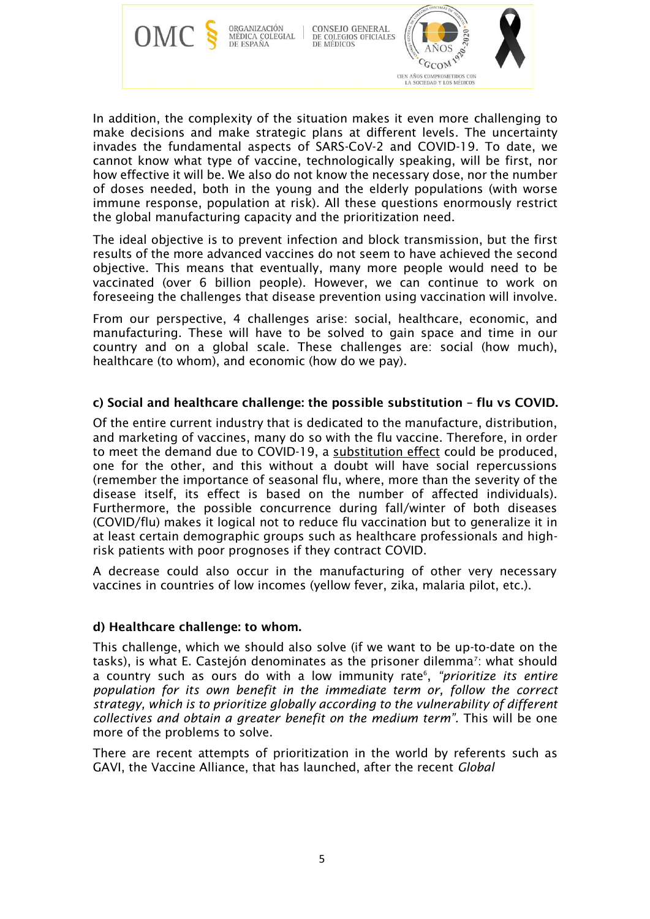

In addition, the complexity of the situation makes it even more challenging to make decisions and make strategic plans at different levels. The uncertainty invades the fundamental aspects of SARS-CoV-2 and COVID-19. To date, we cannot know what type of vaccine, technologically speaking, will be first, nor how effective it will be. We also do not know the necessary dose, nor the number of doses needed, both in the young and the elderly populations (with worse immune response, population at risk). All these questions enormously restrict the global manufacturing capacity and the prioritization need.

The ideal objective is to prevent infection and block transmission, but the first results of the more advanced vaccines do not seem to have achieved the second objective. This means that eventually, many more people would need to be vaccinated (over 6 billion people). However, we can continue to work on foreseeing the challenges that disease prevention using vaccination will involve.

From our perspective, 4 challenges arise: social, healthcare, economic, and manufacturing. These will have to be solved to gain space and time in our country and on a global scale. These challenges are: social (how much), healthcare (to whom), and economic (how do we pay).

## c) Social and healthcare challenge: the possible substitution – flu vs COVID.

Of the entire current industry that is dedicated to the manufacture, distribution, and marketing of vaccines, many do so with the flu vaccine. Therefore, in order to meet the demand due to COVID-19, a substitution effect could be produced, one for the other, and this without a doubt will have social repercussions (remember the importance of seasonal flu, where, more than the severity of the disease itself, its effect is based on the number of affected individuals). Furthermore, the possible concurrence during fall/winter of both diseases (COVID/flu) makes it logical not to reduce flu vaccination but to generalize it in at least certain demographic groups such as healthcare professionals and highrisk patients with poor prognoses if they contract COVID.

A decrease could also occur in the manufacturing of other very necessary vaccines in countries of low incomes (yellow fever, zika, malaria pilot, etc.).

#### d) Healthcare challenge: to whom.

This challenge, which we should also solve (if we want to be up-to-date on the tasks), is what E. Castejón denominates as the prisoner dilemma<sup>7</sup>: what should a country such as ours do with a low immunity rate<sup>6</sup>, "*prioritize its entire population for its own benefit in the immediate term or, follow the correct strategy, which is to prioritize globally according to the vulnerability of different collectives and obtain a greater benefit on the medium term".* This will be one more of the problems to solve.

There are recent attempts of prioritization in the world by referents such as GAVI, the Vaccine Alliance, that has launched, after the recent *Global*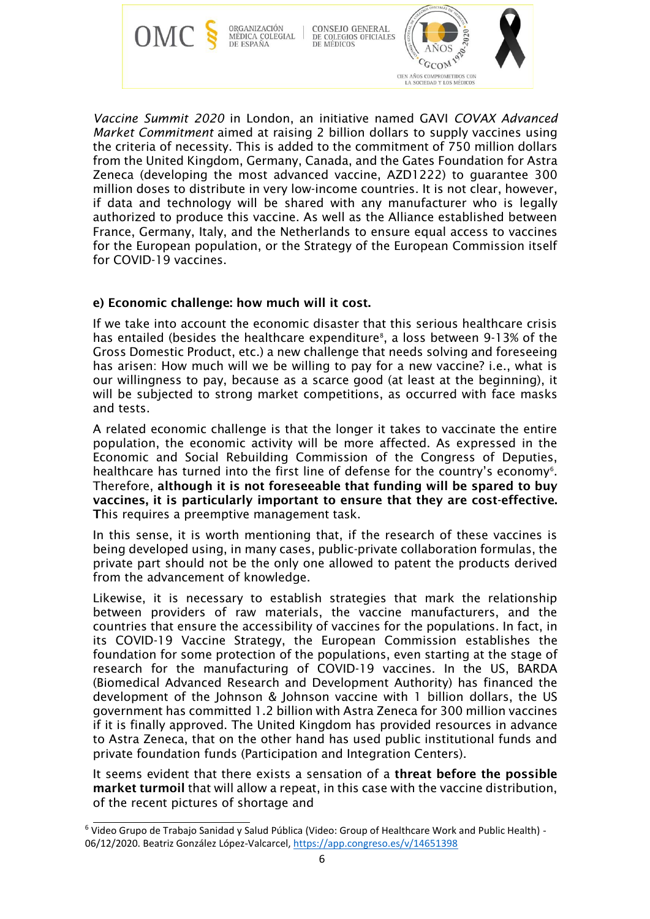

*Vaccine Summit 2020* in London, an initiative named GAVI *COVAX Advanced Market Commitment* aimed at raising 2 billion dollars to supply vaccines using the criteria of necessity. This is added to the commitment of 750 million dollars from the United Kingdom, Germany, Canada, and the Gates Foundation for Astra Zeneca (developing the most advanced vaccine, AZD1222) to guarantee 300 million doses to distribute in very low-income countries. It is not clear, however, if data and technology will be shared with any manufacturer who is legally authorized to produce this vaccine. As well as the Alliance established between France, Germany, Italy, and the Netherlands to ensure equal access to vaccines for the European population, or the Strategy of the European Commission itself for COVID-19 vaccines.

## e) Economic challenge: how much will it cost.

If we take into account the economic disaster that this serious healthcare crisis has entailed (besides the healthcare expenditure<sup>8</sup>, a loss between 9-13% of the Gross Domestic Product, etc.) a new challenge that needs solving and foreseeing has arisen: How much will we be willing to pay for a new vaccine? i.e., what is our willingness to pay, because as a scarce good (at least at the beginning), it will be subjected to strong market competitions, as occurred with face masks and tests.

A related economic challenge is that the longer it takes to vaccinate the entire population, the economic activity will be more affected. As expressed in the Economic and Social Rebuilding Commission of the Congress of Deputies, healthcare has turned into the first line of defense for the country's economy<sup>6</sup>. Therefore, although it is not foreseeable that funding will be spared to buy vaccines, it is particularly important to ensure that they are cost-effective. This requires a preemptive management task.

In this sense, it is worth mentioning that, if the research of these vaccines is being developed using, in many cases, public-private collaboration formulas, the private part should not be the only one allowed to patent the products derived from the advancement of knowledge.

Likewise, it is necessary to establish strategies that mark the relationship between providers of raw materials, the vaccine manufacturers, and the countries that ensure the accessibility of vaccines for the populations. In fact, in its COVID-19 Vaccine Strategy, the European Commission establishes the foundation for some protection of the populations, even starting at the stage of research for the manufacturing of COVID-19 vaccines. In the US, BARDA (Biomedical Advanced Research and Development Authority) has financed the development of the Johnson & Johnson vaccine with 1 billion dollars, the US government has committed 1.2 billion with Astra Zeneca for 300 million vaccines if it is finally approved. The United Kingdom has provided resources in advance to Astra Zeneca, that on the other hand has used public institutional funds and private foundation funds (Participation and Integration Centers).

It seems evident that there exists a sensation of a threat before the possible market turmoil that will allow a repeat, in this case with the vaccine distribution, of the recent pictures of shortage and

<sup>6</sup> Video Grupo de Trabajo Sanidad y Salud Pública (Video: Group of Healthcare Work and Public Health) - 06/12/2020. Beatriz González López-Valcarcel,<https://app.congreso.es/v/14651398>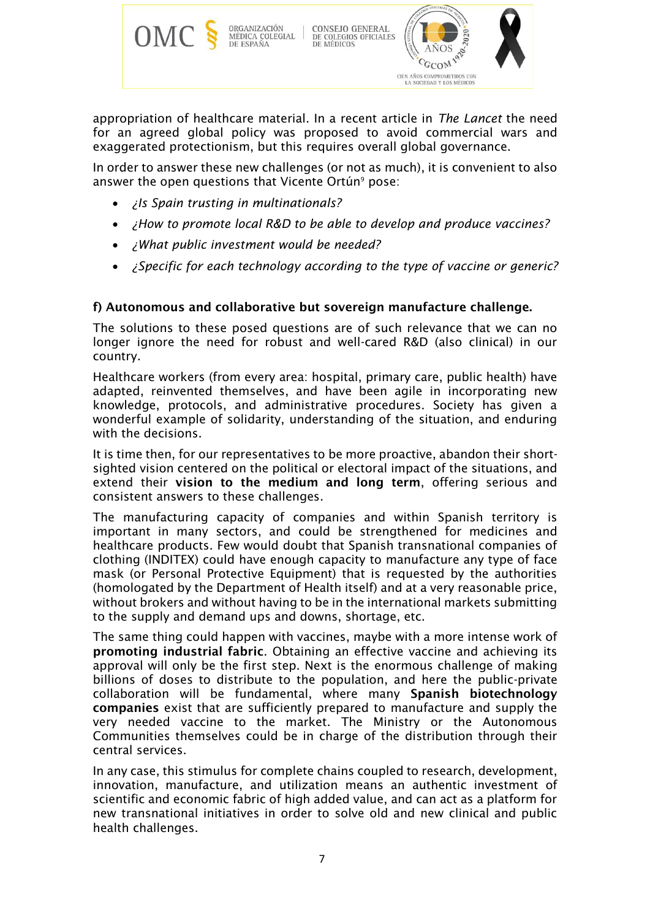

appropriation of healthcare material. In a recent article in *The Lancet* the need for an agreed global policy was proposed to avoid commercial wars and exaggerated protectionism, but this requires overall global governance.

In order to answer these new challenges (or not as much), it is convenient to also answer the open questions that Vicente Ortún<sup>9</sup> pose:

- *¿Is Spain trusting in multinationals?*
- *¿How to promote local R&D to be able to develop and produce vaccines?*
- *¿What public investment would be needed?*
- *¿Specific for each technology according to the type of vaccine or generic?*

#### f) Autonomous and collaborative but sovereign manufacture challenge.

The solutions to these posed questions are of such relevance that we can no longer ignore the need for robust and well-cared R&D (also clinical) in our country.

Healthcare workers (from every area: hospital, primary care, public health) have adapted, reinvented themselves, and have been agile in incorporating new knowledge, protocols, and administrative procedures. Society has given a wonderful example of solidarity, understanding of the situation, and enduring with the decisions.

It is time then, for our representatives to be more proactive, abandon their shortsighted vision centered on the political or electoral impact of the situations, and extend their vision to the medium and long term, offering serious and consistent answers to these challenges.

The manufacturing capacity of companies and within Spanish territory is important in many sectors, and could be strengthened for medicines and healthcare products. Few would doubt that Spanish transnational companies of clothing (INDITEX) could have enough capacity to manufacture any type of face mask (or Personal Protective Equipment) that is requested by the authorities (homologated by the Department of Health itself) and at a very reasonable price, without brokers and without having to be in the international markets submitting to the supply and demand ups and downs, shortage, etc.

The same thing could happen with vaccines, maybe with a more intense work of promoting industrial fabric. Obtaining an effective vaccine and achieving its approval will only be the first step. Next is the enormous challenge of making billions of doses to distribute to the population, and here the public-private collaboration will be fundamental, where many Spanish biotechnology companies exist that are sufficiently prepared to manufacture and supply the very needed vaccine to the market. The Ministry or the Autonomous Communities themselves could be in charge of the distribution through their central services.

In any case, this stimulus for complete chains coupled to research, development, innovation, manufacture, and utilization means an authentic investment of scientific and economic fabric of high added value, and can act as a platform for new transnational initiatives in order to solve old and new clinical and public health challenges.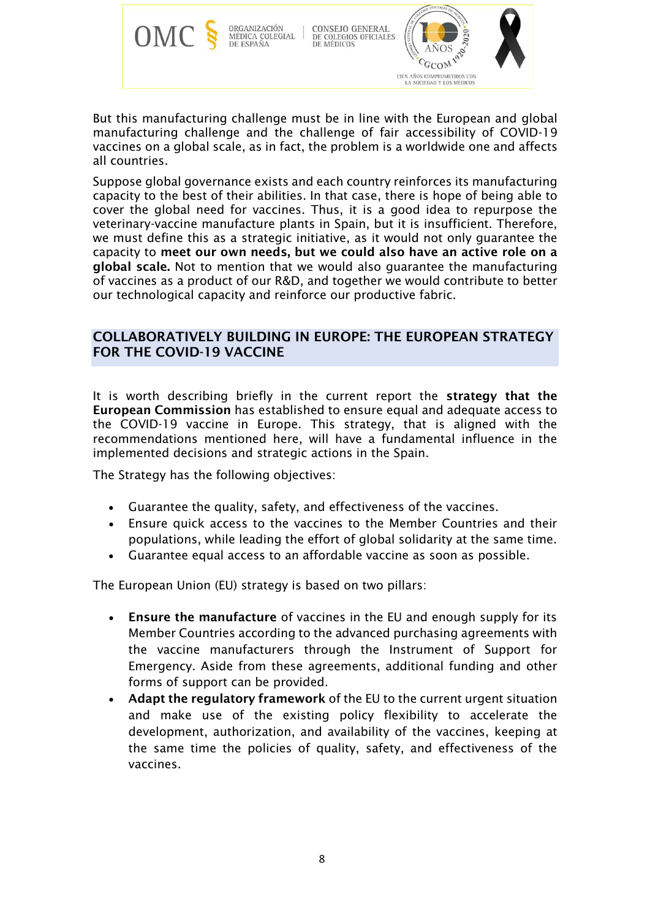

CONSEJO GENERAL DE COLEGIOS OFICIALES<br>DE MÉDICOS



But this manufacturing challenge must be in line with the European and global manufacturing challenge and the challenge of fair accessibility of COVID-19 vaccines on a global scale, as in fact, the problem is a worldwide one and affects all countries.

Suppose global governance exists and each country reinforces its manufacturing capacity to the best of their abilities. In that case, there is hope of being able to cover the global need for vaccines. Thus, it is a good idea to repurpose the veterinary-vaccine manufacture plants in Spain, but it is insufficient. Therefore, we must define this as a strategic initiative, as it would not only guarantee the capacity to meet our own needs, but we could also have an active role on a global scale. Not to mention that we would also guarantee the manufacturing of vaccines as a product of our R&D, and together we would contribute to better our technological capacity and reinforce our productive fabric.

## COLLABORATIVELY BUILDING IN EUROPE: THE EUROPEAN STRATEGY FOR THE COVID-19 VACCINE

It is worth describing briefly in the current report the strategy that the European Commission has established to ensure equal and adequate access to the COVID-19 vaccine in Europe. This strategy, that is aligned with the recommendations mentioned here, will have a fundamental influence in the implemented decisions and strategic actions in the Spain.

The Strategy has the following objectives:

- Guarantee the quality, safety, and effectiveness of the vaccines.
- Ensure quick access to the vaccines to the Member Countries and their populations, while leading the effort of global solidarity at the same time.
- Guarantee equal access to an affordable vaccine as soon as possible.

The European Union (EU) strategy is based on two pillars:

- Ensure the manufacture of vaccines in the EU and enough supply for its Member Countries according to the advanced purchasing agreements with the vaccine manufacturers through the Instrument of Support for Emergency. Aside from these agreements, additional funding and other forms of support can be provided.
- Adapt the regulatory framework of the EU to the current urgent situation and make use of the existing policy flexibility to accelerate the development, authorization, and availability of the vaccines, keeping at the same time the policies of quality, safety, and effectiveness of the vaccines.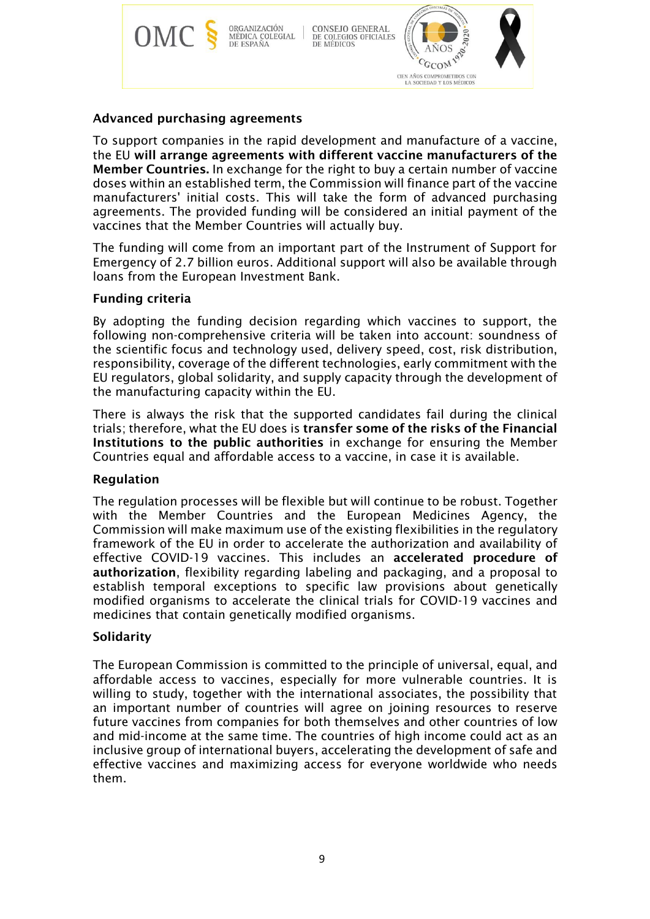

## Advanced purchasing agreements

To support companies in the rapid development and manufacture of a vaccine, the EU will arrange agreements with different vaccine manufacturers of the Member Countries. In exchange for the right to buy a certain number of vaccine doses within an established term, the Commission will finance part of the vaccine manufacturers' initial costs. This will take the form of advanced purchasing agreements. The provided funding will be considered an initial payment of the vaccines that the Member Countries will actually buy.

The funding will come from an important part of the Instrument of Support for Emergency of 2.7 billion euros. Additional support will also be available through loans from the European Investment Bank.

## Funding criteria

By adopting the funding decision regarding which vaccines to support, the following non-comprehensive criteria will be taken into account: soundness of the scientific focus and technology used, delivery speed, cost, risk distribution, responsibility, coverage of the different technologies, early commitment with the EU regulators, global solidarity, and supply capacity through the development of the manufacturing capacity within the EU.

There is always the risk that the supported candidates fail during the clinical trials; therefore, what the EU does is transfer some of the risks of the Financial Institutions to the public authorities in exchange for ensuring the Member Countries equal and affordable access to a vaccine, in case it is available.

#### Regulation

The regulation processes will be flexible but will continue to be robust. Together with the Member Countries and the European Medicines Agency, the Commission will make maximum use of the existing flexibilities in the regulatory framework of the EU in order to accelerate the authorization and availability of effective COVID-19 vaccines. This includes an accelerated procedure of authorization, flexibility regarding labeling and packaging, and a proposal to establish temporal exceptions to specific law provisions about genetically modified organisms to accelerate the clinical trials for COVID-19 vaccines and medicines that contain genetically modified organisms.

#### **Solidarity**

The European Commission is committed to the principle of universal, equal, and affordable access to vaccines, especially for more vulnerable countries. It is willing to study, together with the international associates, the possibility that an important number of countries will agree on joining resources to reserve future vaccines from companies for both themselves and other countries of low and mid-income at the same time. The countries of high income could act as an inclusive group of international buyers, accelerating the development of safe and effective vaccines and maximizing access for everyone worldwide who needs them.